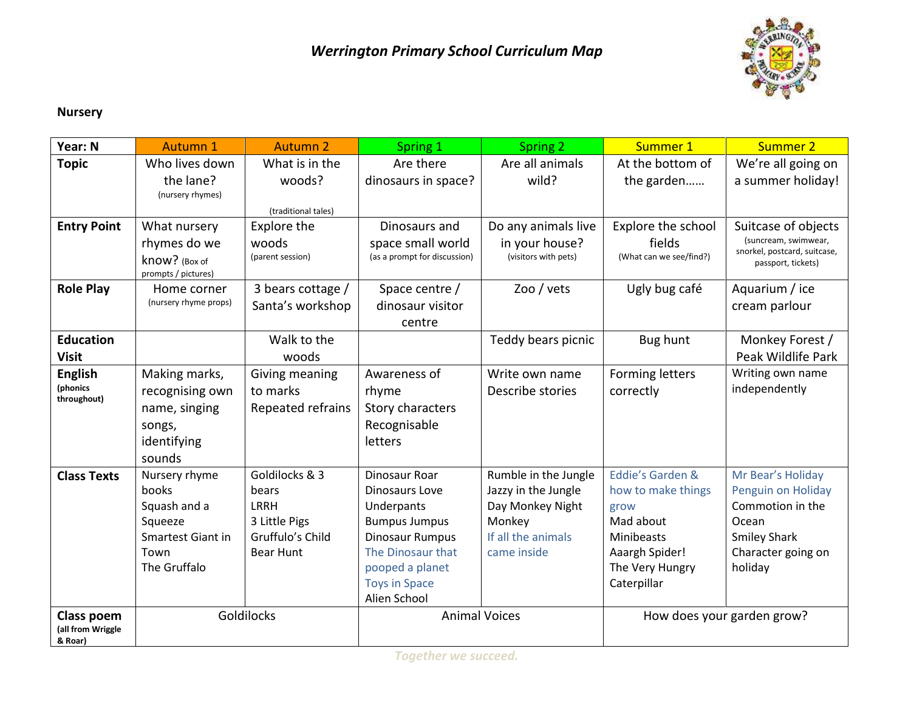

## **Nursery**

| Year: N                                    | <b>Autumn 1</b>                                                                                | <b>Autumn 2</b>                                                                   | Spring 1                                                                                                                                                                               | Spring 2                                                                                                       | Summer 1                                                                                                                      | <b>Summer 2</b>                                                                                                              |
|--------------------------------------------|------------------------------------------------------------------------------------------------|-----------------------------------------------------------------------------------|----------------------------------------------------------------------------------------------------------------------------------------------------------------------------------------|----------------------------------------------------------------------------------------------------------------|-------------------------------------------------------------------------------------------------------------------------------|------------------------------------------------------------------------------------------------------------------------------|
| <b>Topic</b>                               | Who lives down                                                                                 | What is in the                                                                    | Are there                                                                                                                                                                              | Are all animals                                                                                                | At the bottom of                                                                                                              | We're all going on                                                                                                           |
|                                            | the lane?<br>(nursery rhymes)                                                                  | woods?                                                                            | dinosaurs in space?                                                                                                                                                                    | wild?                                                                                                          | the garden                                                                                                                    | a summer holiday!                                                                                                            |
|                                            |                                                                                                | (traditional tales)                                                               |                                                                                                                                                                                        |                                                                                                                |                                                                                                                               |                                                                                                                              |
| <b>Entry Point</b>                         | What nursery                                                                                   | <b>Explore the</b>                                                                | Dinosaurs and                                                                                                                                                                          | Do any animals live                                                                                            | Explore the school                                                                                                            | Suitcase of objects                                                                                                          |
|                                            | rhymes do we<br>know? (Box of<br>prompts / pictures)                                           | woods<br>(parent session)                                                         | space small world<br>(as a prompt for discussion)                                                                                                                                      | in your house?<br>(visitors with pets)                                                                         | fields<br>(What can we see/find?)                                                                                             | (suncream, swimwear,<br>snorkel, postcard, suitcase,<br>passport, tickets)                                                   |
| <b>Role Play</b>                           | Home corner<br>(nursery rhyme props)                                                           | 3 bears cottage /<br>Santa's workshop                                             | Space centre /<br>dinosaur visitor<br>centre                                                                                                                                           | Zoo / $vets$                                                                                                   | Ugly bug café                                                                                                                 | Aquarium / ice<br>cream parlour                                                                                              |
| <b>Education</b><br><b>Visit</b>           |                                                                                                | Walk to the<br>woods                                                              |                                                                                                                                                                                        | Teddy bears picnic                                                                                             | Bug hunt                                                                                                                      | Monkey Forest /<br>Peak Wildlife Park                                                                                        |
| <b>English</b><br>(phonics<br>throughout)  | Making marks,<br>recognising own<br>name, singing<br>songs,<br>identifying<br>sounds           | Giving meaning<br>to marks<br>Repeated refrains                                   | Awareness of<br>rhyme<br>Story characters<br>Recognisable<br>letters                                                                                                                   | Write own name<br>Describe stories                                                                             | Forming letters<br>correctly                                                                                                  | Writing own name<br>independently                                                                                            |
| <b>Class Texts</b>                         | Nursery rhyme<br>books<br>Squash and a<br>Squeeze<br>Smartest Giant in<br>Town<br>The Gruffalo | Goldilocks & 3<br>bears<br>LRRH<br>3 Little Pigs<br>Gruffulo's Child<br>Bear Hunt | <b>Dinosaur Roar</b><br>Dinosaurs Love<br>Underpants<br><b>Bumpus Jumpus</b><br><b>Dinosaur Rumpus</b><br>The Dinosaur that<br>pooped a planet<br><b>Toys in Space</b><br>Alien School | Rumble in the Jungle<br>Jazzy in the Jungle<br>Day Monkey Night<br>Monkey<br>If all the animals<br>came inside | Eddie's Garden &<br>how to make things<br>grow<br>Mad about<br>Minibeasts<br>Aaargh Spider!<br>The Very Hungry<br>Caterpillar | Mr Bear's Holiday<br>Penguin on Holiday<br>Commotion in the<br>Ocean<br><b>Smiley Shark</b><br>Character going on<br>holiday |
| Class poem<br>(all from Wriggle<br>& Roar) | Goldilocks                                                                                     |                                                                                   | <b>Animal Voices</b>                                                                                                                                                                   |                                                                                                                | How does your garden grow?                                                                                                    |                                                                                                                              |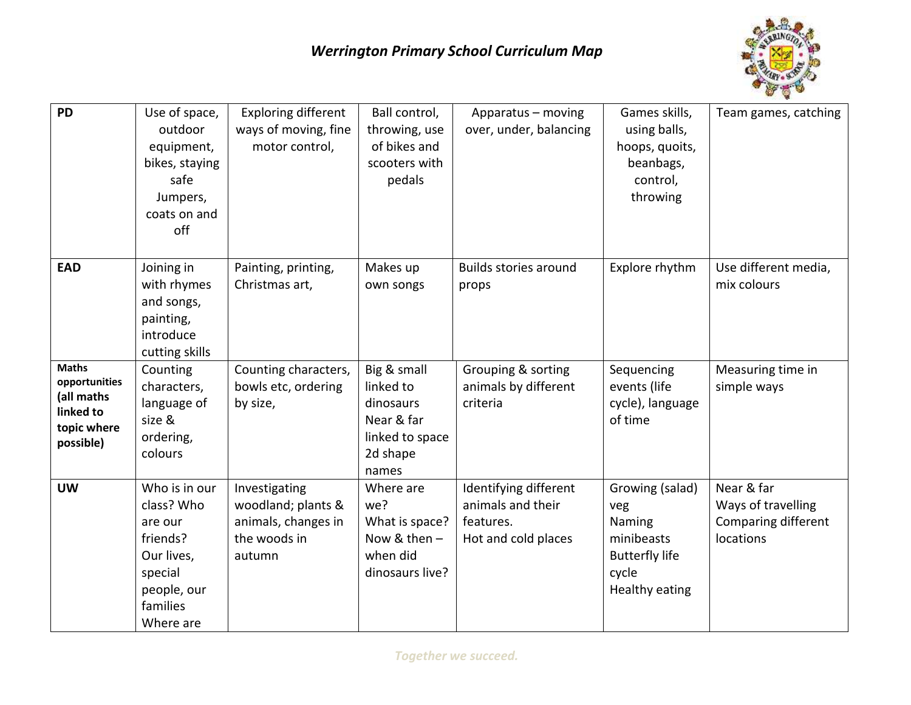

| <b>PD</b>                                                                            | Use of space,<br>outdoor<br>equipment,<br>bikes, staying<br>safe<br>Jumpers,<br>coats on and<br>off                 | <b>Exploring different</b><br>ways of moving, fine<br>motor control,                 | Ball control,<br>throwing, use<br>of bikes and<br>scooters with<br>pedals                   | Apparatus - moving<br>over, under, balancing                                   | Games skills,<br>using balls,<br>hoops, quoits,<br>beanbags,<br>control,<br>throwing                      | Team games, catching                                                 |
|--------------------------------------------------------------------------------------|---------------------------------------------------------------------------------------------------------------------|--------------------------------------------------------------------------------------|---------------------------------------------------------------------------------------------|--------------------------------------------------------------------------------|-----------------------------------------------------------------------------------------------------------|----------------------------------------------------------------------|
| <b>EAD</b>                                                                           | Joining in<br>with rhymes<br>and songs,<br>painting,<br>introduce<br>cutting skills                                 | Painting, printing,<br>Christmas art,                                                | Makes up<br>own songs                                                                       | Builds stories around<br>props                                                 | Explore rhythm                                                                                            | Use different media,<br>mix colours                                  |
| <b>Maths</b><br>opportunities<br>(all maths<br>linked to<br>topic where<br>possible) | Counting<br>characters,<br>language of<br>size &<br>ordering,<br>colours                                            | Counting characters,<br>bowls etc, ordering<br>by size,                              | Big & small<br>linked to<br>dinosaurs<br>Near & far<br>linked to space<br>2d shape<br>names | Grouping & sorting<br>animals by different<br>criteria                         | Sequencing<br>events (life<br>cycle), language<br>of time                                                 | Measuring time in<br>simple ways                                     |
| <b>UW</b>                                                                            | Who is in our<br>class? Who<br>are our<br>friends?<br>Our lives,<br>special<br>people, our<br>families<br>Where are | Investigating<br>woodland; plants &<br>animals, changes in<br>the woods in<br>autumn | Where are<br>we?<br>What is space?<br>Now & then $-$<br>when did<br>dinosaurs live?         | Identifying different<br>animals and their<br>features.<br>Hot and cold places | Growing (salad)<br>veg<br>Naming<br>minibeasts<br><b>Butterfly life</b><br>cycle<br><b>Healthy eating</b> | Near & far<br>Ways of travelling<br>Comparing different<br>locations |